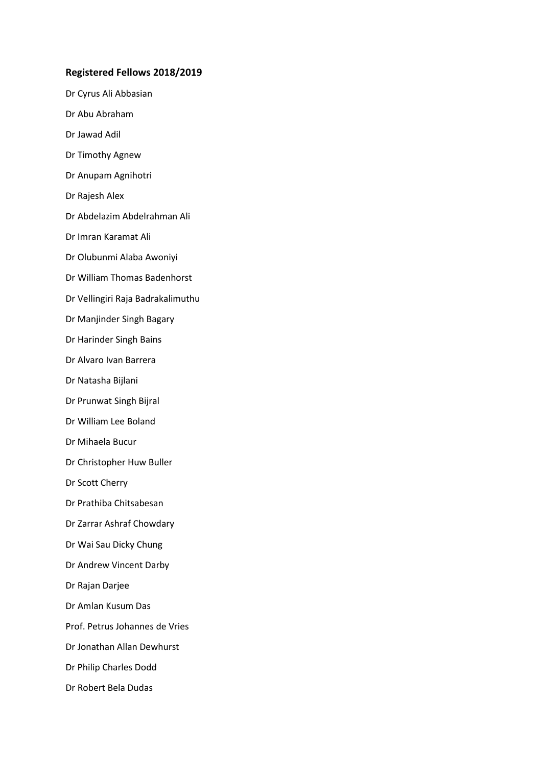## **Registered Fellows 2018/2019**

- Dr Cyrus Ali Abbasian Dr Abu Abraham Dr Jawad Adil Dr Timothy Agnew Dr Anupam Agnihotri Dr Rajesh Alex Dr Abdelazim Abdelrahman Ali Dr Imran Karamat Ali Dr Olubunmi Alaba Awoniyi Dr William Thomas Badenhorst Dr Vellingiri Raja Badrakalimuthu Dr Manjinder Singh Bagary Dr Harinder Singh Bains Dr Alvaro Ivan Barrera Dr Natasha Bijlani Dr Prunwat Singh Bijral Dr William Lee Boland Dr Mihaela Bucur Dr Christopher Huw Buller Dr Scott Cherry Dr Prathiba Chitsabesan Dr Zarrar Ashraf Chowdary Dr Wai Sau Dicky Chung Dr Andrew Vincent Darby Dr Rajan Darjee Dr Amlan Kusum Das
- Prof. Petrus Johannes de Vries
- Dr Jonathan Allan Dewhurst
- Dr Philip Charles Dodd
- Dr Robert Bela Dudas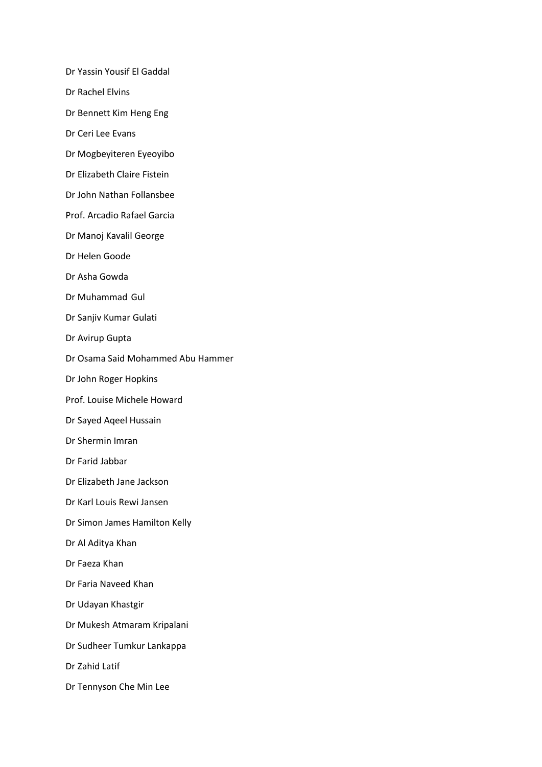Dr Yassin Yousif El Gaddal

- Dr Rachel Elvins
- Dr Bennett Kim Heng Eng
- Dr Ceri Lee Evans
- Dr Mogbeyiteren Eyeoyibo
- Dr Elizabeth Claire Fistein
- Dr John Nathan Follansbee
- Prof. Arcadio Rafael Garcia
- Dr Manoj Kavalil George
- Dr Helen Goode
- Dr Asha Gowda
- Dr Muhammad Gul
- Dr Sanjiv Kumar Gulati
- Dr Avirup Gupta
- Dr Osama Said Mohammed Abu Hammer
- Dr John Roger Hopkins
- Prof. Louise Michele Howard
- Dr Sayed Aqeel Hussain
- Dr Shermin Imran
- Dr Farid Jabbar
- Dr Elizabeth Jane Jackson
- Dr Karl Louis Rewi Jansen
- Dr Simon James Hamilton Kelly
- Dr Al Aditya Khan
- Dr Faeza Khan
- Dr Faria Naveed Khan
- Dr Udayan Khastgir
- Dr Mukesh Atmaram Kripalani
- Dr Sudheer Tumkur Lankappa
- Dr Zahid Latif
- Dr Tennyson Che Min Lee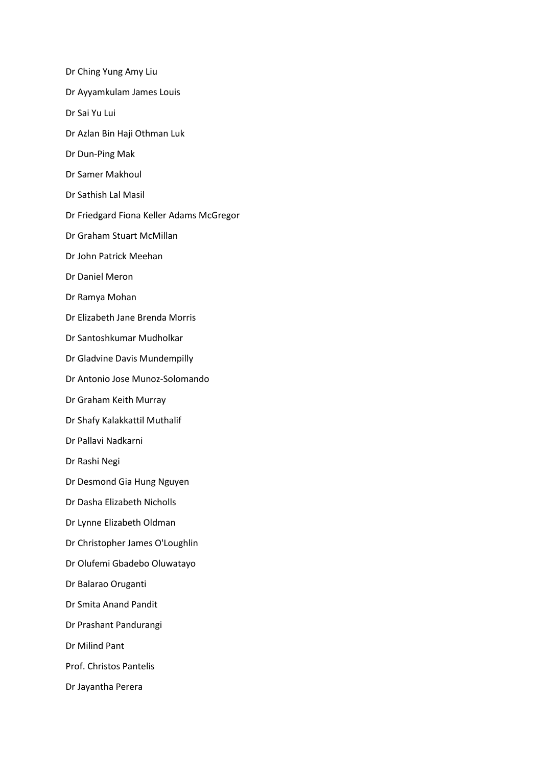- Dr Ching Yung Amy Liu
- Dr Ayyamkulam James Louis
- Dr Sai Yu Lui
- Dr Azlan Bin Haji Othman Luk
- Dr Dun-Ping Mak
- Dr Samer Makhoul
- Dr Sathish Lal Masil
- Dr Friedgard Fiona Keller Adams McGregor
- Dr Graham Stuart McMillan
- Dr John Patrick Meehan
- Dr Daniel Meron
- Dr Ramya Mohan
- Dr Elizabeth Jane Brenda Morris
- Dr Santoshkumar Mudholkar
- Dr Gladvine Davis Mundempilly
- Dr Antonio Jose Munoz-Solomando
- Dr Graham Keith Murray
- Dr Shafy Kalakkattil Muthalif
- Dr Pallavi Nadkarni
- Dr Rashi Negi
- Dr Desmond Gia Hung Nguyen
- Dr Dasha Elizabeth Nicholls
- Dr Lynne Elizabeth Oldman
- Dr Christopher James O'Loughlin
- Dr Olufemi Gbadebo Oluwatayo
- Dr Balarao Oruganti
- Dr Smita Anand Pandit
- Dr Prashant Pandurangi
- Dr Milind Pant
- Prof. Christos Pantelis
- Dr Jayantha Perera